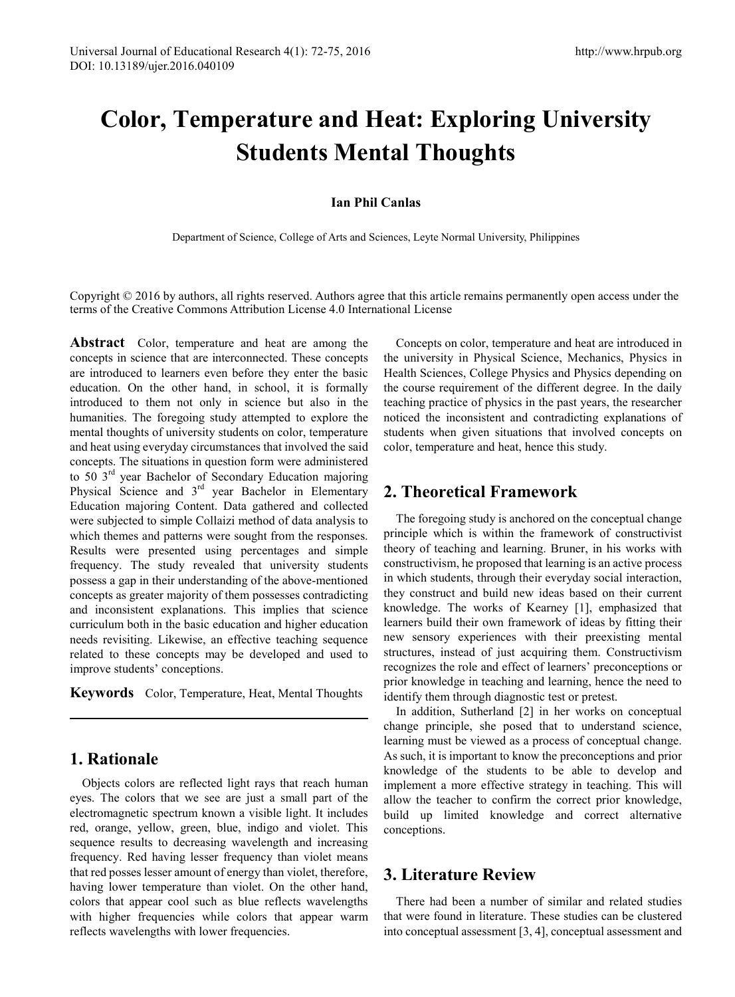# **Color, Temperature and Heat: Exploring University Students Mental Thoughts**

#### **Ian Phil Canlas**

Department of Science, College of Arts and Sciences, Leyte Normal University, Philippines

Copyright © 2016 by authors, all rights reserved. Authors agree that this article remains permanently open access under the terms of the Creative Commons Attribution License 4.0 International License

**Abstract** Color, temperature and heat are among the concepts in science that are interconnected. These concepts are introduced to learners even before they enter the basic education. On the other hand, in school, it is formally introduced to them not only in science but also in the humanities. The foregoing study attempted to explore the mental thoughts of university students on color, temperature and heat using everyday circumstances that involved the said concepts. The situations in question form were administered to 50 3rd year Bachelor of Secondary Education majoring Physical Science and 3<sup>rd</sup> year Bachelor in Elementary Education majoring Content. Data gathered and collected were subjected to simple Collaizi method of data analysis to which themes and patterns were sought from the responses. Results were presented using percentages and simple frequency. The study revealed that university students possess a gap in their understanding of the above-mentioned concepts as greater majority of them possesses contradicting and inconsistent explanations. This implies that science curriculum both in the basic education and higher education needs revisiting. Likewise, an effective teaching sequence related to these concepts may be developed and used to improve students' conceptions.

**Keywords** Color, Temperature, Heat, Mental Thoughts

# **1. Rationale**

Objects colors are reflected light rays that reach human eyes. The colors that we see are just a small part of the electromagnetic spectrum known a visible light. It includes red, orange, yellow, green, blue, indigo and violet. This sequence results to decreasing wavelength and increasing frequency. Red having lesser frequency than violet means that red posses lesser amount of energy than violet, therefore, having lower temperature than violet. On the other hand, colors that appear cool such as blue reflects wavelengths with higher frequencies while colors that appear warm reflects wavelengths with lower frequencies.

Concepts on color, temperature and heat are introduced in the university in Physical Science, Mechanics, Physics in Health Sciences, College Physics and Physics depending on the course requirement of the different degree. In the daily teaching practice of physics in the past years, the researcher noticed the inconsistent and contradicting explanations of students when given situations that involved concepts on color, temperature and heat, hence this study.

# **2. Theoretical Framework**

The foregoing study is anchored on the conceptual change principle which is within the framework of constructivist theory of teaching and learning. Bruner, in his works with constructivism, he proposed that learning is an active process in which students, through their everyday social interaction, they construct and build new ideas based on their current knowledge. The works of Kearney [1], emphasized that learners build their own framework of ideas by fitting their new sensory experiences with their preexisting mental structures, instead of just acquiring them. Constructivism recognizes the role and effect of learners' preconceptions or prior knowledge in teaching and learning, hence the need to identify them through diagnostic test or pretest.

In addition, Sutherland [2] in her works on conceptual change principle, she posed that to understand science, learning must be viewed as a process of conceptual change. As such, it is important to know the preconceptions and prior knowledge of the students to be able to develop and implement a more effective strategy in teaching. This will allow the teacher to confirm the correct prior knowledge, build up limited knowledge and correct alternative conceptions.

# **3. Literature Review**

There had been a number of similar and related studies that were found in literature. These studies can be clustered into conceptual assessment [3, 4], conceptual assessment and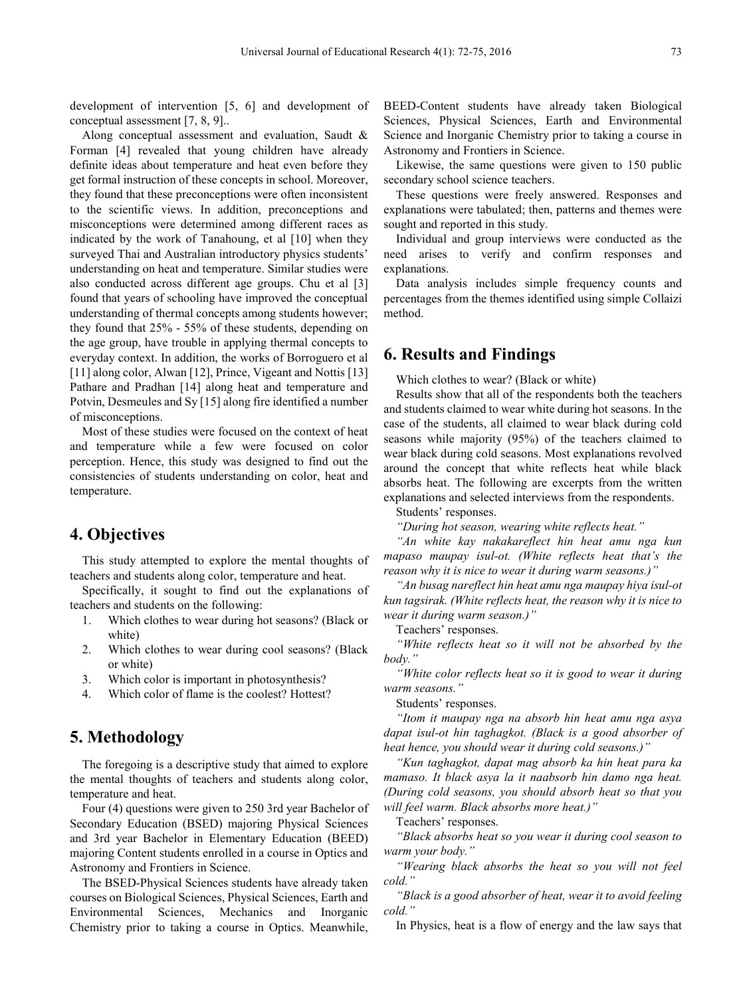development of intervention [5, 6] and development of conceptual assessment [7, 8, 9]..

Along conceptual assessment and evaluation, Saudt & Forman [4] revealed that young children have already definite ideas about temperature and heat even before they get formal instruction of these concepts in school. Moreover, they found that these preconceptions were often inconsistent to the scientific views. In addition, preconceptions and misconceptions were determined among different races as indicated by the work of Tanahoung, et al [10] when they surveyed Thai and Australian introductory physics students' understanding on heat and temperature. Similar studies were also conducted across different age groups. Chu et al [3] found that years of schooling have improved the conceptual understanding of thermal concepts among students however; they found that 25% - 55% of these students, depending on the age group, have trouble in applying thermal concepts to everyday context. In addition, the works of Borroguero et al [11] along color, Alwan [12], Prince, Vigeant and Nottis [13] Pathare and Pradhan [14] along heat and temperature and Potvin, Desmeules and Sy [15] along fire identified a number of misconceptions.

Most of these studies were focused on the context of heat and temperature while a few were focused on color perception. Hence, this study was designed to find out the consistencies of students understanding on color, heat and temperature.

#### **4. Objectives**

This study attempted to explore the mental thoughts of teachers and students along color, temperature and heat.

Specifically, it sought to find out the explanations of teachers and students on the following:

- 1. Which clothes to wear during hot seasons? (Black or white)
- 2. Which clothes to wear during cool seasons? (Black or white)
- 3. Which color is important in photosynthesis?
- 4. Which color of flame is the coolest? Hottest?

#### **5. Methodology**

The foregoing is a descriptive study that aimed to explore the mental thoughts of teachers and students along color, temperature and heat.

Four (4) questions were given to 250 3rd year Bachelor of Secondary Education (BSED) majoring Physical Sciences and 3rd year Bachelor in Elementary Education (BEED) majoring Content students enrolled in a course in Optics and Astronomy and Frontiers in Science.

The BSED-Physical Sciences students have already taken courses on Biological Sciences, Physical Sciences, Earth and Environmental Sciences, Mechanics and Inorganic Chemistry prior to taking a course in Optics. Meanwhile,

BEED-Content students have already taken Biological Sciences, Physical Sciences, Earth and Environmental Science and Inorganic Chemistry prior to taking a course in Astronomy and Frontiers in Science.

Likewise, the same questions were given to 150 public secondary school science teachers.

These questions were freely answered. Responses and explanations were tabulated; then, patterns and themes were sought and reported in this study.

Individual and group interviews were conducted as the need arises to verify and confirm responses and explanations.

Data analysis includes simple frequency counts and percentages from the themes identified using simple Collaizi method.

## **6. Results and Findings**

Which clothes to wear? (Black or white)

Results show that all of the respondents both the teachers and students claimed to wear white during hot seasons. In the case of the students, all claimed to wear black during cold seasons while majority (95%) of the teachers claimed to wear black during cold seasons. Most explanations revolved around the concept that white reflects heat while black absorbs heat. The following are excerpts from the written explanations and selected interviews from the respondents.

Students' responses.

*"During hot season, wearing white reflects heat."*

*"An white kay nakakareflect hin heat amu nga kun mapaso maupay isul-ot. (White reflects heat that's the reason why it is nice to wear it during warm seasons.)"*

*"An busag nareflect hin heat amu nga maupay hiya isul-ot kun tagsirak. (White reflects heat, the reason why it is nice to wear it during warm season.)"*

Teachers' responses.

*"White reflects heat so it will not be absorbed by the body."*

*"White color reflects heat so it is good to wear it during warm seasons."*

Students' responses.

*"Itom it maupay nga na absorb hin heat amu nga asya dapat isul-ot hin taghagkot. (Black is a good absorber of heat hence, you should wear it during cold seasons.)"*

*"Kun taghagkot, dapat mag absorb ka hin heat para ka mamaso. It black asya la it naabsorb hin damo nga heat. (During cold seasons, you should absorb heat so that you will feel warm. Black absorbs more heat.)"*

Teachers' responses.

*"Black absorbs heat so you wear it during cool season to warm your body."*

*"Wearing black absorbs the heat so you will not feel cold."*

*"Black is a good absorber of heat, wear it to avoid feeling cold."*

In Physics, heat is a flow of energy and the law says that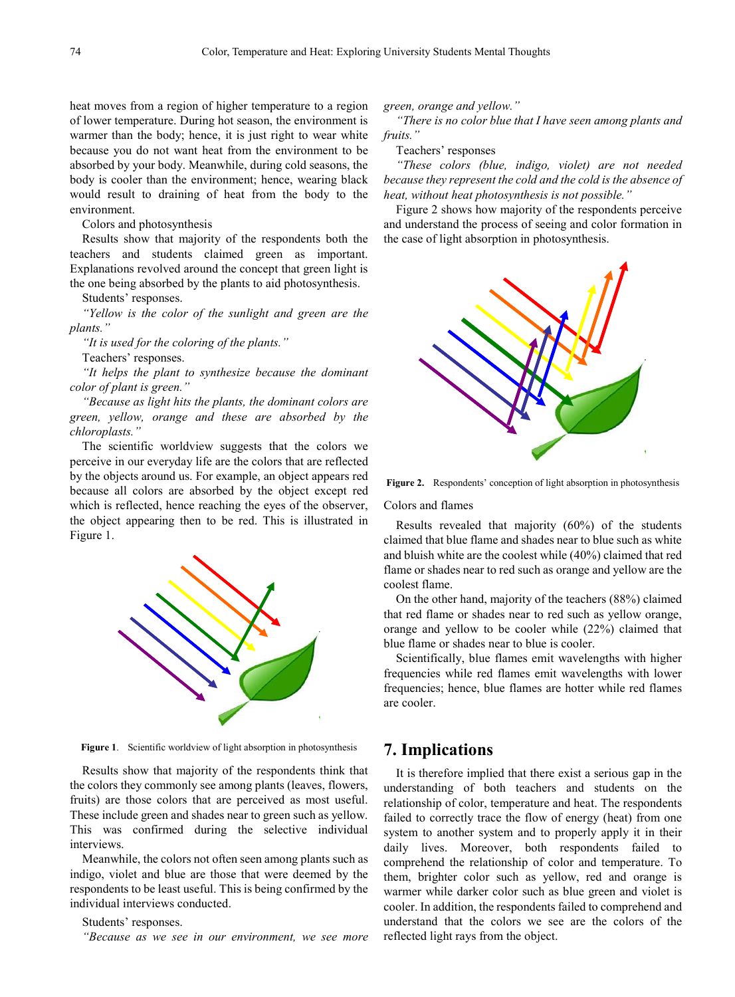heat moves from a region of higher temperature to a region of lower temperature. During hot season, the environment is warmer than the body; hence, it is just right to wear white because you do not want heat from the environment to be absorbed by your body. Meanwhile, during cold seasons, the body is cooler than the environment; hence, wearing black would result to draining of heat from the body to the environment.

Colors and photosynthesis

Results show that majority of the respondents both the teachers and students claimed green as important. Explanations revolved around the concept that green light is the one being absorbed by the plants to aid photosynthesis.

Students' responses.

*"Yellow is the color of the sunlight and green are the plants."*

*"It is used for the coloring of the plants."*

Teachers' responses.

*"It helps the plant to synthesize because the dominant color of plant is green."*

*"Because as light hits the plants, the dominant colors are green, yellow, orange and these are absorbed by the chloroplasts."*

The scientific worldview suggests that the colors we perceive in our everyday life are the colors that are reflected by the objects around us. For example, an object appears red because all colors are absorbed by the object except red which is reflected, hence reaching the eyes of the observer, the object appearing then to be red. This is illustrated in Figure 1.



**Figure 1**. Scientific worldview of light absorption in photosynthesis

Results show that majority of the respondents think that the colors they commonly see among plants (leaves, flowers, fruits) are those colors that are perceived as most useful. These include green and shades near to green such as yellow. This was confirmed during the selective individual interviews.

Meanwhile, the colors not often seen among plants such as indigo, violet and blue are those that were deemed by the respondents to be least useful. This is being confirmed by the individual interviews conducted.

#### Students' responses.

*"Because as we see in our environment, we see more* 

*green, orange and yellow."*

*"There is no color blue that I have seen among plants and fruits."*

Teachers' responses

*"These colors (blue, indigo, violet) are not needed because they represent the cold and the cold is the absence of heat, without heat photosynthesis is not possible."* 

Figure 2 shows how majority of the respondents perceive and understand the process of seeing and color formation in the case of light absorption in photosynthesis.





#### Colors and flames

Results revealed that majority (60%) of the students claimed that blue flame and shades near to blue such as white and bluish white are the coolest while (40%) claimed that red flame or shades near to red such as orange and yellow are the coolest flame.

On the other hand, majority of the teachers (88%) claimed that red flame or shades near to red such as yellow orange, orange and yellow to be cooler while (22%) claimed that blue flame or shades near to blue is cooler.

Scientifically, blue flames emit wavelengths with higher frequencies while red flames emit wavelengths with lower frequencies; hence, blue flames are hotter while red flames are cooler.

## **7. Implications**

It is therefore implied that there exist a serious gap in the understanding of both teachers and students on the relationship of color, temperature and heat. The respondents failed to correctly trace the flow of energy (heat) from one system to another system and to properly apply it in their daily lives. Moreover, both respondents failed to comprehend the relationship of color and temperature. To them, brighter color such as yellow, red and orange is warmer while darker color such as blue green and violet is cooler. In addition, the respondents failed to comprehend and understand that the colors we see are the colors of the reflected light rays from the object.